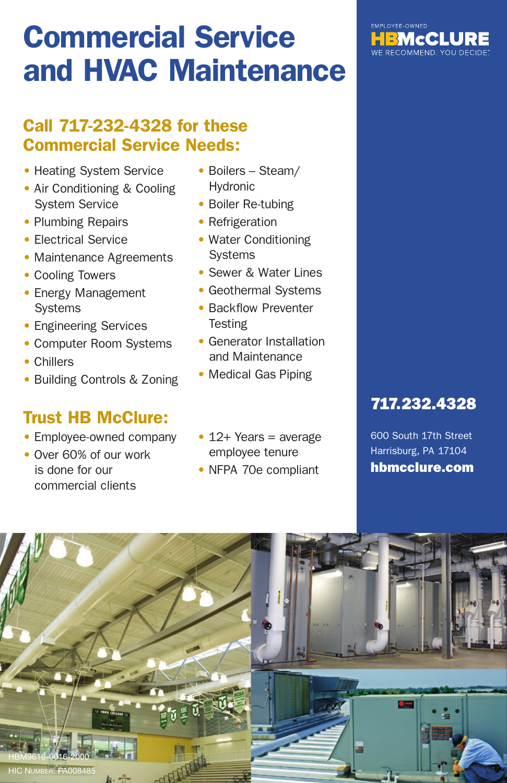# Commercial Service and HVAC Maintenance

#### Call 717-232-4328 for these Commercial Service Needs:

- Heating System Service
- Air Conditioning & Cooling System Service
- Plumbing Repairs
- Electrical Service
- Maintenance Agreements
- Cooling Towers
- Energy Management **Systems**
- Engineering Services
- Computer Room Systems
- Chillers
- Building Controls & Zoning

#### Trust HB McClure:

- Employee-owned company
- Over 60% of our work is done for our commercial clients
- Boilers Steam/ Hydronic
- Boiler Re-tubing
- Refrigeration
- Water Conditioning Systems
- Sewer & Water Lines
- Geothermal Systems
- Backflow Preventer **Testing**
- Generator Installation and Maintenance
- Medical Gas Piping
- 12+ Years = average employee tenure
- NFPA 70e compliant

## 717.232.4328

600 South 17th Street Harrisburg, PA 17104 hbmcclure.com